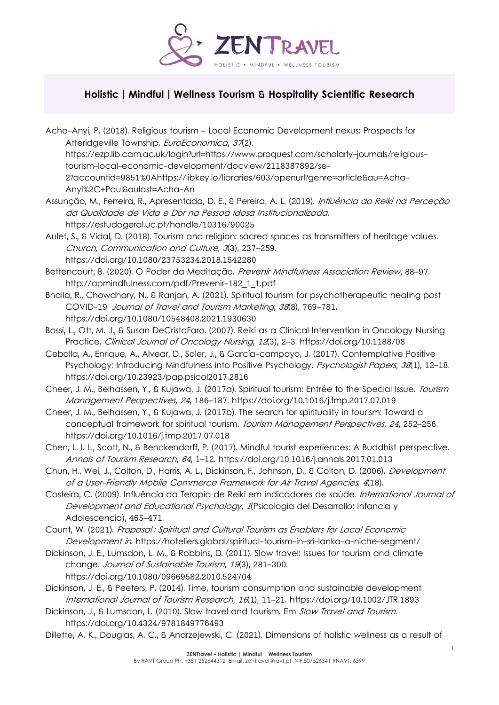

## **Holistic | Mindful | Wellness Tourism & Hospitality Scientific Research**

Acha-Anyi, P. (2018). Religious tourism – Local Economic Development nexus: Prospects for Atteridgeville Township. EuroEconomica, 37(2). https://ezp.lib.cam.ac.uk/login?url=https://www.proquest.com/scholarly-journals/religioustourism-local-economic-development/docview/2118387892/se-2?accountid=9851%0Ahttps://libkey.io/libraries/603/openurl?genre=article&au=Acha-Anyi%2C+Paul&aulast=Acha-An Assunção, M., Ferreira, R., Apresentada, D. E., & Pereira, A. L. (2019). *Influência do Reiki na Perceção* da Qualidade de Vida e Dor na Pessoa Idosa Institucionalizada. https://estudogeral.uc.pt/handle/10316/90025 Aulet, S., & Vidal, D. (2018). Tourism and religion: sacred spaces as transmitters of heritage values. Church, Communication and Culture, <sup>3</sup>(3), 237–259. https://doi.org/10.1080/23753234.2018.1542280 Bettencourt, B. (2020). O Poder da Meditação. Prevenir Mindfulness Association Review, 88-97. http://apmindfulness.com/pdf/Prevenir-182\_1\_1.pdf Bhalla, R., Chowdhary, N., & Ranjan, A. (2021). Spiritual tourism for psychotherapeutic healing post COVID-19. Journal of Travel and Tourism Marketing, <sup>38</sup>(8), 769–781. https://doi.org/10.1080/10548408.2021.1930630 Bossi, L., Ott, M. J., & Susan DeCristoFaro. (2007). Reiki as a Clinical Intervention in Oncology Nursing Practice. Clinical Journal of Oncology Nursing, <sup>12</sup>(3), 2–3. https://doi.org/10.1188/08 Cebolla, A., Enrique, A., Alvear, D., Soler, J., & García-campayo, J. (2017). Contemplative Positive Psychology: Introducing Mindfulness into Positive Psychology. Psychologist Papers, 38(1), 12-18. https://doi.org/10.23923/pap.psicol2017.2816 Cheer, J. M., Belhassen, Y., & Kujawa, J. (2017a). Spiritual tourism: Entrée to the Special Issue. Tourism Management Perspectives, <sup>24</sup>, 186–187. https://doi.org/10.1016/j.tmp.2017.07.019 Cheer, J. M., Belhassen, Y., & Kujawa, J. (2017b). The search for spirituality in tourism: Toward a conceptual framework for spiritual tourism. Tourism Management Perspectives, <sup>24</sup>, 252–256. https://doi.org/10.1016/j.tmp.2017.07.018 Chen, L. I. L., Scott, N., & Benckendorff, P. (2017). Mindful tourist experiences: A Buddhist perspective. Annals of Tourism Research, <sup>64</sup>, 1–12. https://doi.org/10.1016/j.annals.2017.01.013 Chun, H., Wei, J., Colton, D., Harris, A. L., Dickinson, F., Johnson, D., & Colton, D. (2006). Development of a User-Friendly Mobile Commerce Framework for Air Travel Agencies. <sup>4</sup>(18). Costeira, C. (2009). Influência da Terapia de Reiki em indicadores de saúde. International Journal of Development and Educational Psychology, 1(Psicologia del Desarrollo: Infancia y Adolescencia), 465–471. Count, W. (2021). Proposal : Spiritual and Cultural Tourism as Enablers for Local Economic Development in. https://hoteliers.global/spiritual-tourism-in-sri-lanka-a-niche-segment/ Dickinson, J. E., Lumsdon, L. M., & Robbins, D. (2011). Slow travel: Issues for tourism and climate change. Journal of Sustainable Tourism, <sup>19</sup>(3), 281–300.

https://doi.org/10.1080/09669582.2010.524704

- Dickinson, J. E., & Peeters, P. (2014). Time, tourism consumption and sustainable development. International Journal of Tourism Research, <sup>16</sup>(1), 11–21. https://doi.org/10.1002/JTR.1893
- Dickinson, J., & Lumsdon, L. (2010). Slow travel and tourism. Em Slow Travel and Tourism. https://doi.org/10.4324/9781849776493

Dillette, A. K., Douglas, A. C., & Andrzejewski, C. (2021). Dimensions of holistic wellness as a result of

1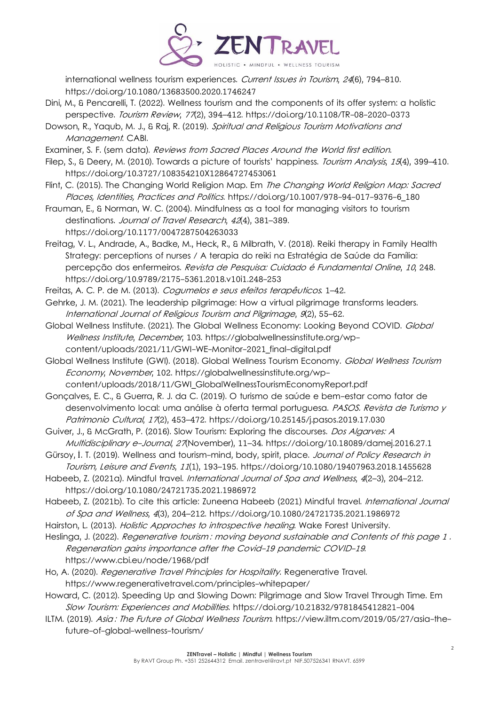

international wellness tourism experiences. Current Issues in Tourism, 24(6), 794–810. https://doi.org/10.1080/13683500.2020.1746247

- Dini, M., & Pencarelli, T. (2022). Wellness tourism and the components of its offer system: a holistic perspective. Tourism Review, <sup>77</sup>(2), 394–412. https://doi.org/10.1108/TR-08-2020-0373
- Dowson, R., Yaqub, M. J., & Raj, R. (2019). Spiritual and Religious Tourism Motivations and Management. CABI.
- Examiner, S. F. (sem data). Reviews from Sacred Places Around the World first edition.
- Filep, S., & Deery, M. (2010). Towards a picture of tourists' happiness. Tourism Analysis, 15(4), 399–410. https://doi.org/10.3727/108354210X12864727453061
- Flint, C. (2015). The Changing World Religion Map. Em *The Changing World Religion Map: Sacred* Places, Identities, Practices and Politics. https://doi.org/10.1007/978-94-017-9376-6\_180
- Frauman, E., & Norman, W. C. (2004). Mindfulness as a tool for managing visitors to tourism destinations. Journal of Travel Research, 42(4), 381-389.
- https://doi.org/10.1177/0047287504263033
- Freitag, V. L., Andrade, A., Badke, M., Heck, R., & Milbrath, V. (2018). Reiki therapy in Family Health Strategy: perceptions of nurses / A terapia do reiki na Estratégia de Saúde da Família: percepção dos enfermeiros. Revista de Pesquisa: Cuidado é Fundamental Online, <sup>10</sup>, 248. https://doi.org/10.9789/2175-5361.2018.v10i1.248-253
- Freitas, A. C. P. de M. (2013). Cogumelos e seus efeitos terapêuticos. 1-42.
- Gehrke, J. M. (2021). The leadership pilgrimage: How a virtual pilgrimage transforms leaders. International Journal of Religious Tourism and Pilgrimage, <sup>9</sup>(2), 55–62.
- Global Wellness Institute. (2021). The Global Wellness Economy: Looking Beyond COVID. Global Wellness Institute, December, 103. https://globalwellnessinstitute.org/wpcontent/uploads/2021/11/GWI-WE-Monitor-2021\_final-digital.pdf
- Global Wellness Institute (GWI). (2018). Global Wellness Tourism Economy. Global Wellness Tourism Economy, November, 102. https://globalwellnessinstitute.org/wpcontent/uploads/2018/11/GWI\_GlobalWellnessTourismEconomyReport.pdf

Gonçalves, E. C., & Guerra, R. J. da C. (2019). O turismo de saúde e bem-estar como fator de desenvolvimento local: uma análise à oferta termal portuguesa. PASOS. Revista de Turismo y Patrimonio Cultural, 17(2), 453-472. https://doi.org/10.25145/j.pasos.2019.17.030

- Guiver, J., & McGrath, P. (2016). Slow Tourism: Exploring the discourses. Dos Algarves: A Multidisciplinary e-Journal, <sup>27</sup>(November), 11–34. https://doi.org/10.18089/damej.2016.27.1
- Gürsoy, İ. T. (2019). Wellness and tourism-mind, body, spirit, place. Journal of Policy Research in Tourism, Leisure and Events, <sup>11</sup>(1), 193–195. https://doi.org/10.1080/19407963.2018.1455628
- Habeeb, Z. (2021a). Mindful travel. International Journal of Spa and Wellness, 4(2-3), 204-212. https://doi.org/10.1080/24721735.2021.1986972
- Habeeb, Z. (2021b). To cite this article: Zuneena Habeeb (2021) Mindful travel. *International Journal* of Spa and Wellness, <sup>4</sup>(3), 204–212. https://doi.org/10.1080/24721735.2021.1986972
- Hairston, L. (2013). Holistic Approches to introspective healing. Wake Forest University.
- Heslinga, J. (2022). Regenerative tourism: moving beyond sustainable and Contents of this page 1. Regeneration gains importance after the Covid-19 pandemic COVID-19. https://www.cbi.eu/node/1968/pdf
- Ho, A. (2020). Regenerative Travel Principles for Hospitality. Regenerative Travel. https://www.regenerativetravel.com/principles-whitepaper/
- Howard, C. (2012). Speeding Up and Slowing Down: Pilgrimage and Slow Travel Through Time. Em Slow Tourism: Experiences and Mobilities. https://doi.org/10.21832/9781845412821-004
- ILTM. (2019). Asia: The Future of Global Wellness Tourism. https://view.iltm.com/2019/05/27/asia-thefuture-of-global-wellness-tourism/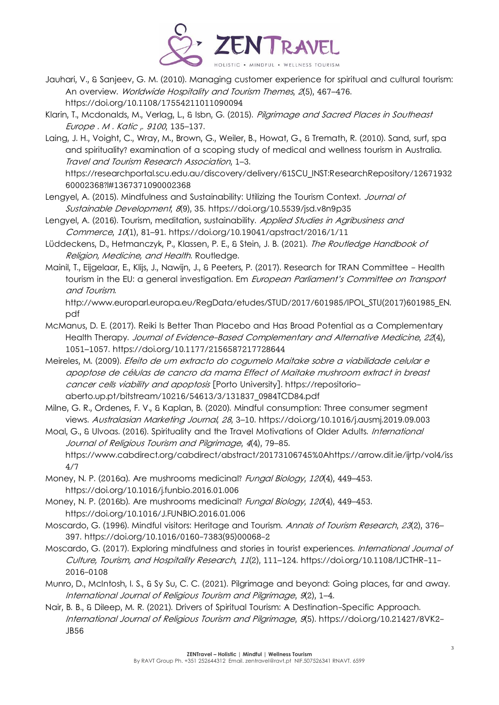

- Jauhari, V., & Sanjeev, G. M. (2010). Managing customer experience for spiritual and cultural tourism: An overview. Worldwide Hospitality and Tourism Themes, 2(5), 467-476. https://doi.org/10.1108/17554211011090094
- Klarin, T., Mcdonalds, M., Verlag, L., & Isbn, G. (2015). Pilgrimage and Sacred Places in Southeast Europe . M . Katic ,. <sup>9100</sup>, 135–137.
- Laing, J. H., Voight, C., Wray, M., Brown, G., Weiler, B., Howat, G., & Tremath, R. (2010). Sand, surf, spa and spirituality? examination of a scoping study of medical and wellness tourism in Australia. Travel and Tourism Research Association, 1–3. https://researchportal.scu.edu.au/discovery/delivery/61SCU\_INST:ResearchRepository/12671932 60002368?l#1367371090002368
- Lengyel, A. (2015). Mindfulness and Sustainability: Utilizing the Tourism Context. Journal of Sustainable Development, <sup>8</sup>(9), 35. https://doi.org/10.5539/jsd.v8n9p35
- Lengyel, A. (2016). Tourism, meditation, sustainability. Applied Studies in Agribusiness and Commerce, <sup>10</sup>(1), 81–91. https://doi.org/10.19041/apstract/2016/1/11
- Lüddeckens, D., Hetmanczyk, P., Klassen, P. E., & Stein, J. B. (2021). The Routledge Handbook of Religion, Medicine, and Health. Routledge.
- Mainil, T., Eijgelaar, E., Klijs, J., Nawijn, J., & Peeters, P. (2017). Research for TRAN Committee Health tourism in the EU: a general investigation. Em *European Parliament's Committee on Transport* and Tourism.

http://www.europarl.europa.eu/RegData/etudes/STUD/2017/601985/IPOL\_STU(2017)601985\_EN. pdf

- McManus, D. E. (2017). Reiki Is Better Than Placebo and Has Broad Potential as a Complementary Health Therapy. Journal of Evidence-Based Complementary and Alternative Medicine, 22(4), 1051–1057. https://doi.org/10.1177/2156587217728644
- Meireles, M. (2009). Efeito de um extracto do cogumelo Maitake sobre a viabilidade celular e apoptose de células de cancro da mama Effect of Maitake mushroom extract in breast cancer cells viability and apoptosis [Porto University]. https://repositorioaberto.up.pt/bitstream/10216/54613/3/131837\_0984TCD84.pdf
- Milne, G. R., Ordenes, F. V., & Kaplan, B. (2020). Mindful consumption: Three consumer segment views. Australasian Marketing Journal, <sup>28</sup>, 3–10. https://doi.org/10.1016/j.ausmj.2019.09.003
- Moal, G., & Ulvoas. (2016). Spirituality and the Travel Motivations of Older Adults. International Journal of Religious Tourism and Pilgrimage, <sup>4</sup>(4), 79–85. https://www.cabdirect.org/cabdirect/abstract/20173106745%0Ahttps://arrow.dit.ie/ijrtp/vol4/iss 4/7
- Money, N. P. (2016a). Are mushrooms medicinal? Fungal Biology, 120(4), 449–453. https://doi.org/10.1016/j.funbio.2016.01.006
- Money, N. P. (2016b). Are mushrooms medicinal? Fungal Biology, 120(4), 449-453. https://doi.org/10.1016/J.FUNBIO.2016.01.006
- Moscardo, G. (1996). Mindful visitors: Heritage and Tourism. Annals of Tourism Research, 23(2), 376-397. https://doi.org/10.1016/0160-7383(95)00068-2
- Moscardo, G. (2017). Exploring mindfulness and stories in tourist experiences. International Journal of Culture, Tourism, and Hospitality Research, <sup>11</sup>(2), 111–124. https://doi.org/10.1108/IJCTHR-11- 2016-0108
- Munro, D., McIntosh, I. S., & Sy Su, C. C. (2021). Pilgrimage and beyond: Going places, far and away. International Journal of Religious Tourism and Pilgrimage, <sup>9</sup>(2), 1–4.
- Nair, B. B., & Dileep, M. R. (2021). Drivers of Spiritual Tourism: A Destination-Specific Approach. International Journal of Religious Tourism and Pilgrimage, <sup>9</sup>(5). https://doi.org/10.21427/8VK2- JB56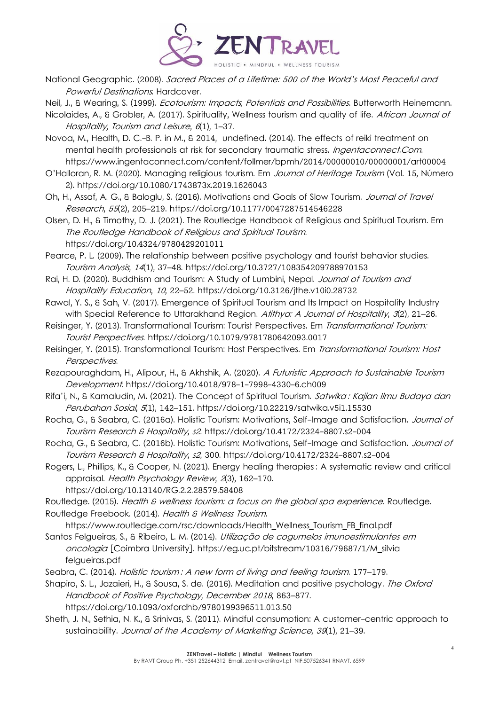

National Geographic. (2008). Sacred Places of a Lifetime: 500 of the World's Most Peaceful and Powerful Destinations. Hardcover.

Neil, J., & Wearing, S. (1999). *Ecotourism: Impacts, Potentials and Possibilities*. Butterworth Heinemann.

- Nicolaides, A., & Grobler, A. (2017). Spirituality, Wellness tourism and quality of life. African Journal of Hospitality, Tourism and Leisure, 6(1), 1-37.
- Novoa, M., Health, D. C.-B. P. in M., & 2014, undefined. (2014). The effects of reiki treatment on mental health professionals at risk for secondary traumatic stress. Ingentaconnect.Com. https://www.ingentaconnect.com/content/follmer/bpmh/2014/00000010/00000001/art00004
- O'Halloran, R. M. (2020). Managing religious tourism. Em Journal of Heritage Tourism (Vol. 15, Número 2). https://doi.org/10.1080/1743873x.2019.1626043
- Oh, H., Assaf, A. G., & Baloglu, S. (2016). Motivations and Goals of Slow Tourism. Journal of Travel Research, <sup>55</sup>(2), 205–219. https://doi.org/10.1177/0047287514546228
- Olsen, D. H., & Timothy, D. J. (2021). The Routledge Handbook of Religious and Spiritual Tourism. Em The Routledge Handbook of Religious and Spiritual Tourism. https://doi.org/10.4324/9780429201011
- Pearce, P. L. (2009). The relationship between positive psychology and tourist behavior studies. Tourism Analysis, <sup>14</sup>(1), 37–48. https://doi.org/10.3727/108354209788970153
- Rai, H. D. (2020). Buddhism and Tourism: A Study of Lumbini, Nepal. Journal of Tourism and Hospitality Education, <sup>10</sup>, 22–52. https://doi.org/10.3126/jthe.v10i0.28732
- Rawal, Y. S., & Sah, V. (2017). Emergence of Spiritual Tourism and Its Impact on Hospitality Industry with Special Reference to Uttarakhand Region. Atithya: A Journal of Hospitality, 3(2), 21–26.
- Reisinger, Y. (2013). Transformational Tourism: Tourist Perspectives. Em Transformational Tourism: Tourist Perspectives. https://doi.org/10.1079/9781780642093.0017
- Reisinger, Y. (2015). Transformational Tourism: Host Perspectives. Em Transformational Tourism: Host Perspectives.
- Rezapouraghdam, H., Alipour, H., & Akhshik, A. (2020). A Futuristic Approach to Sustainable Tourism Development. https://doi.org/10.4018/978-1-7998-4330-6.ch009
- Rifa'i, N., & Kamaludin, M. (2021). The Concept of Spiritual Tourism. Satwika: Kajian Ilmu Budaya dan Perubahan Sosial, 5(1), 142-151. https://doi.org/10.22219/satwika.v5i1.15530
- Rocha, G., & Seabra, C. (2016a). Holistic Tourism: Motivations, Self-Image and Satisfaction. Journal of Tourism Research & Hospitality, s2. https://doi.org/10.4172/2324-8807.s2-004
- Rocha, G., & Seabra, C. (2016b). Holistic Tourism: Motivations, Self-Image and Satisfaction. Journal of Tourism Research & Hospitality, s2, 300. https://doi.org/10.4172/2324-8807.s2-004
- Rogers, L., Phillips, K., & Cooper, N. (2021). Energy healing therapies : A systematic review and critical appraisal. Health Psychology Review, <sup>2</sup>(3), 162–170.
	- https://doi.org/10.13140/RG.2.2.28579.58408
- Routledge. (2015). Health & wellness tourism: a focus on the global spa experience. Routledge. Routledge Freebook. (2014). Health & Wellness Tourism.
- https://www.routledge.com/rsc/downloads/Health\_Wellness\_Tourism\_FB\_final.pdf Santos Felgueiras, S., & Ribeiro, L. M. (2014). Utilização de cogumelos imunoestimulantes em oncologia [Coimbra University]. https://eg.uc.pt/bitstream/10316/79687/1/M\_silvia felgueiras.pdf
- Seabra, C. (2014). Holistic tourism: A new form of living and feeling tourism. 177-179.
- Shapiro, S. L., Jazaieri, H., & Sousa, S. de. (2016). Meditation and positive psychology. The Oxford Handbook of Positive Psychology, December 2018, 863–877. https://doi.org/10.1093/oxfordhb/9780199396511.013.50
- Sheth, J. N., Sethia, N. K., & Srinivas, S. (2011). Mindful consumption: A customer-centric approach to sustainability. Journal of the Academy of Marketing Science, 39(1), 21-39.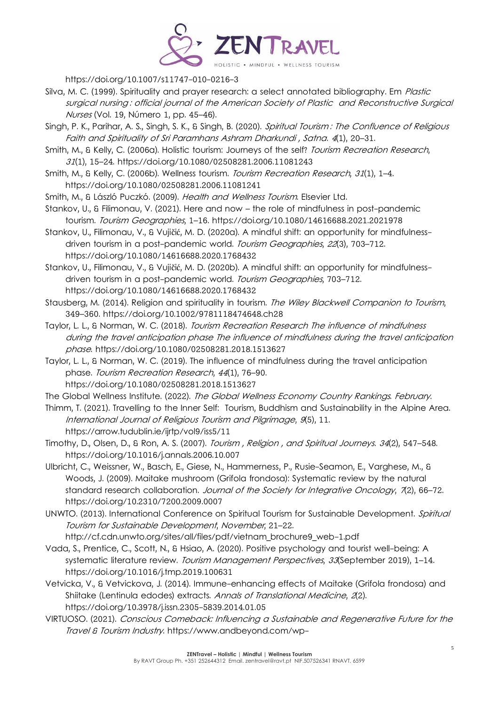

https://doi.org/10.1007/s11747-010-0216-3

- Silva, M. C. (1999). Spirituality and prayer research: a select annotated bibliography. Em *Plastic* surgical nursing : official journal of the American Society of Plastic and Reconstructive Surgical Nurses (Vol. 19, Número 1, pp. 45–46).
- Singh, P. K., Parihar, A. S., Singh, S. K., & Singh, B. (2020). Spiritual Tourism : The Confluence of Religious Faith and Spirituality of Sri Paramhans Ashram Dharkundi , Satna. <sup>4</sup>(1), 20–31.
- Smith, M., & Kelly, C. (2006a). Holistic tourism: Journeys of the self? Tourism Recreation Research, <sup>31</sup>(1), 15–24. https://doi.org/10.1080/02508281.2006.11081243
- Smith, M., & Kelly, C. (2006b). Wellness tourism. Tourism Recreation Research, 31(1), 1-4. https://doi.org/10.1080/02508281.2006.11081241
- Smith, M., & László Puczkó. (2009). Health and Wellness Tourism. Elsevier Ltd.
- Stankov, U., & Filimonau, V. (2021). Here and now the role of mindfulness in post-pandemic tourism. Tourism Geographies, 1–16. https://doi.org/10.1080/14616688.2021.2021978
- Stankov, U., Filimonau, V., & Vujičić, M. D. (2020a). A mindful shift: an opportunity for mindfulnessdriven tourism in a post-pandemic world. Tourism Geographies, 22(3), 703-712. https://doi.org/10.1080/14616688.2020.1768432
- Stankov, U., Filimonau, V., & Vujičić, M. D. (2020b). A mindful shift: an opportunity for mindfulnessdriven tourism in a post-pandemic world. Tourism Geographies, 703-712. https://doi.org/10.1080/14616688.2020.1768432
- Stausberg, M. (2014). Religion and spirituality in tourism. The Wiley Blackwell Companion to Tourism, 349–360. https://doi.org/10.1002/9781118474648.ch28
- Taylor, L. L., & Norman, W. C. (2018). Tourism Recreation Research The influence of mindfulness during the travel anticipation phase The influence of mindfulness during the travel anticipation phase. https://doi.org/10.1080/02508281.2018.1513627
- Taylor, L. L., & Norman, W. C. (2019). The influence of mindfulness during the travel anticipation phase. Tourism Recreation Research, <sup>44</sup>(1), 76–90. https://doi.org/10.1080/02508281.2018.1513627
- The Global Wellness Institute. (2022). The Global Wellness Economy Country Rankings. February.
- Thimm, T. (2021). Travelling to the Inner Self: Tourism, Buddhism and Sustainability in the Alpine Area. International Journal of Religious Tourism and Pilgrimage, <sup>9</sup>(5), 11. https://arrow.tudublin.ie/ijrtp/vol9/iss5/11
- Timothy, D., Olsen, D., & Ron, A. S. (2007). Tourism, Religion, and Spiritual Journeys. 34(2), 547-548. https://doi.org/10.1016/j.annals.2006.10.007
- Ulbricht, C., Weissner, W., Basch, E., Giese, N., Hammerness, P., Rusie-Seamon, E., Varghese, M., & Woods, J. (2009). Maitake mushroom (Grifola frondosa): Systematic review by the natural standard research collaboration. Journal of the Society for Integrative Oncology, 7(2), 66-72. https://doi.org/10.2310/7200.2009.0007
- UNWTO. (2013). International Conference on Spiritual Tourism for Sustainable Development. Spiritual Tourism for Sustainable Development, November, 21–22.
	- http://cf.cdn.unwto.org/sites/all/files/pdf/vietnam\_brochure9\_web-1.pdf
- Vada, S., Prentice, C., Scott, N., & Hsiao, A. (2020). Positive psychology and tourist well-being: A systematic literature review. Tourism Management Perspectives, 33(September 2019), 1-14. https://doi.org/10.1016/j.tmp.2019.100631
- Vetvicka, V., & Vetvickova, J. (2014). Immune-enhancing effects of Maitake (Grifola frondosa) and Shiitake (Lentinula edodes) extracts. Annals of Translational Medicine, 2(2). https://doi.org/10.3978/j.issn.2305-5839.2014.01.05
- VIRTUOSO. (2021). Conscious Comeback: Influencing a Sustainable and Regenerative Future for the Travel & Tourism Industry. https://www.andbeyond.com/wp-